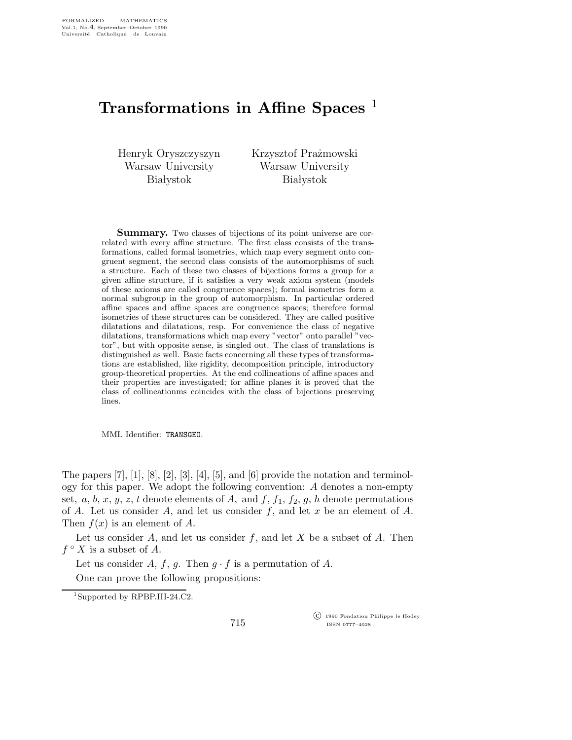## Transformations in Affine Spaces<sup>1</sup>

Henryk Oryszczyszyn Warsaw University **Białystok** 

Krzysztof Prażmowski Warsaw University **Białystok** 

**Summary.** Two classes of bijections of its point universe are correlated with every affine structure. The first class consists of the transformations, called formal isometries, which map every segment onto congruent segment, the second class consists of the automorphisms of such a structure. Each of these two classes of bijections forms a group for a given affine structure, if it satisfies a very weak axiom system (models of these axioms are called congruence spaces); formal isometries form a normal subgroup in the group of automorphism. In particular ordered affine spaces and affine spaces are congruence spaces; therefore formal isometries of these structures can be considered. They are called positive dilatations and dilatations, resp. For convenience the class of negative dilatations, transformations which map every "vector" onto parallel "vector", but with opposite sense, is singled out. The class of translations is distinguished as well. Basic facts concerning all these types of transformations are established, like rigidity, decomposition principle, introductory group-theoretical properties. At the end collineations of affine spaces and their properties are investigated; for affine planes it is proved that the class of collineationms coincides with the class of bijections preserving lines.

MML Identifier: TRANSGEO.

The papers  $[7]$ ,  $[1]$ ,  $[8]$ ,  $[2]$ ,  $[3]$ ,  $[4]$ ,  $[5]$ , and  $[6]$  provide the notation and terminology for this paper. We adopt the following convention: A denotes a non-empty set, a, b, x, y, z, t denote elements of A, and f,  $f_1$ ,  $f_2$ , g, h denote permutations of A. Let us consider A, and let us consider f, and let x be an element of A. Then  $f(x)$  is an element of A.

Let us consider  $A$ , and let us consider  $f$ , and let  $X$  be a subset of  $A$ . Then  $f \circ X$  is a subset of  $A$ .

Let us consider A, f, g. Then  $q \cdot f$  is a permutation of A.

One can prove the following propositions:

<sup>1</sup>Supported by RPBP.III-24.C2.

715

 c 1990 Fondation Philippe le Hodey ISSN 0777–4028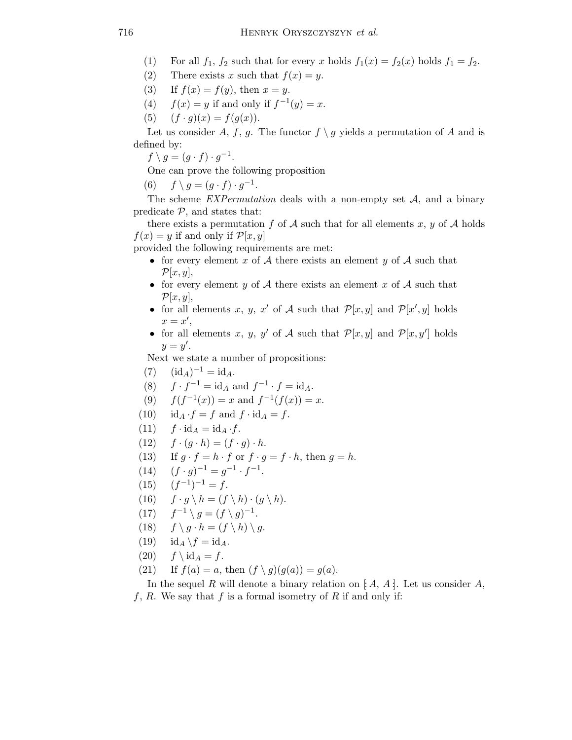- (1) For all  $f_1$ ,  $f_2$  such that for every x holds  $f_1(x) = f_2(x)$  holds  $f_1 = f_2$ .
- (2) There exists x such that  $f(x) = y$ .
- (3) If  $f(x) = f(y)$ , then  $x = y$ .
- (4)  $f(x) = y$  if and only if  $f^{-1}(y) = x$ .
- (5)  $(f \cdot g)(x) = f(g(x)).$

Let us consider A, f, g. The functor  $f \ g$  yields a permutation of A and is defined by:

 $f \setminus g = (g \cdot f) \cdot g^{-1}.$ 

One can prove the following proposition

(6)  $f \setminus g = (g \cdot f) \cdot g^{-1}$ .

The scheme  $EXPermutation$  deals with a non-empty set  $A$ , and a binary predicate  $P$ , and states that:

there exists a permutation f of A such that for all elements x, y of A holds  $f(x) = y$  if and only if  $\mathcal{P}[x, y]$ 

provided the following requirements are met:

- for every element x of A there exists an element y of A such that  $\mathcal{P}[x,y],$
- for every element  $y$  of  $A$  there exists an element  $x$  of  $A$  such that  $\mathcal{P}[x,y],$
- for all elements x, y, x' of A such that  $\mathcal{P}[x, y]$  and  $\mathcal{P}[x', y]$  holds  $x = x'$ ,
- for all elements x, y, y' of A such that  $\mathcal{P}[x,y]$  and  $\mathcal{P}[x,y']$  holds  $y=y'.$

Next we state a number of propositions:

- (7)  $(id_A)^{-1} = id_A.$
- (8)  $f \cdot f^{-1} = id_A$  and  $f^{-1} \cdot f = id_A$ .
- (9)  $f(f^{-1}(x)) = x$  and  $f^{-1}(f(x)) = x$ .
- (10) id<sub>A</sub>  $\cdot f = f$  and  $f \cdot id_A = f$ .
- (11)  $f \cdot id_A = id_A \cdot f$ .
- (12)  $f \cdot (q \cdot h) = (f \cdot q) \cdot h$ .
- (13) If  $g \cdot f = h \cdot f$  or  $f \cdot g = f \cdot h$ , then  $g = h$ .
- (14)  $(f \cdot g)^{-1} = g^{-1} \cdot f^{-1}.$
- $(15)$  $(-1)^{-1} = f.$
- (16)  $f \cdot g \setminus h = (f \setminus h) \cdot (g \setminus h).$
- $(17)$  $^{-1} \setminus g = (f \setminus g)^{-1}.$
- (18)  $f \ (q \cdot h = (f \ h) \ (q \cdot h)$
- (19)  $id_A \backslash f = id_A$ .
- $(20)$   $f \setminus id_A = f$ .
- (21) If  $f(a) = a$ , then  $(f \setminus g)(g(a)) = g(a)$ .

In the sequel R will denote a binary relation on  $[A, A]$ . Let us consider A, f, R. We say that f is a formal isometry of R if and only if: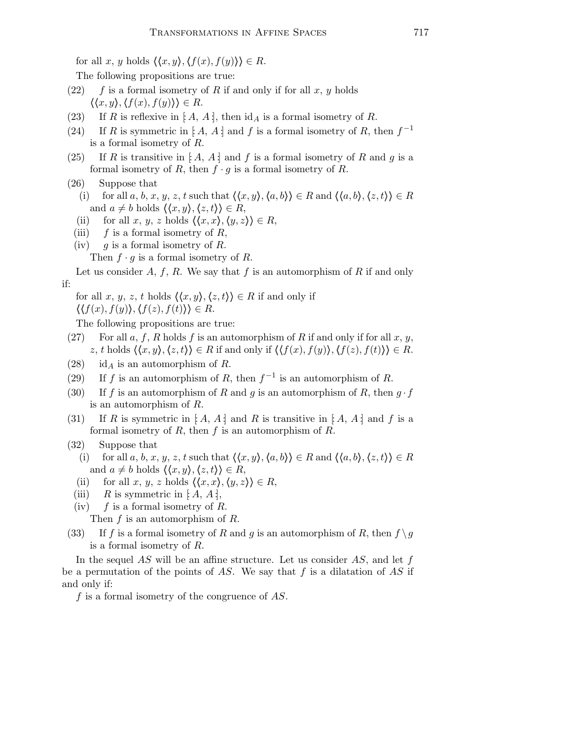for all x, y holds  $\langle \langle x, y \rangle, \langle f(x), f(y) \rangle \rangle \in R$ .

The following propositions are true:

- $(22)$  f is a formal isometry of R if and only if for all x, y holds  $\langle \langle x, y \rangle, \langle f(x), f(y) \rangle \rangle \in R.$
- (23) If R is reflexive in  $[A, A]$ , then  $\mathrm{id}_A$  is a formal isometry of R.
- (24) If R is symmetric in [A, A :] and f is a formal isometry of R, then  $f^{-1}$ is a formal isometry of R.
- (25) If R is transitive in [A, A ] and f is a formal isometry of R and g is a formal isometry of R, then  $f \cdot g$  is a formal isometry of R.
- (26) Suppose that

(i) for all a, b, x, y, z, t such that  $\langle \langle x, y \rangle, \langle a, b \rangle \rangle \in R$  and  $\langle \langle a, b \rangle, \langle z, t \rangle \rangle \in R$ and  $a \neq b$  holds  $\langle \langle x, y \rangle, \langle z, t \rangle \rangle \in R$ ,

- (ii) for all x, y, z holds  $\langle \langle x, x \rangle, \langle y, z \rangle \rangle \in R$ ,
- (iii)  $f$  is a formal isometry of R,
- (iv)  $g$  is a formal isometry of R.
	- Then  $f \cdot g$  is a formal isometry of R.

Let us consider  $A, f, R$ . We say that f is an automorphism of R if and only if:

for all x, y, z, t holds  $\langle \langle x, y \rangle, \langle z, t \rangle \rangle \in R$  if and only if  $\langle \langle f(x), f(y) \rangle, \langle f(z), f(t) \rangle \rangle \in R.$ 

The following propositions are true:

- (27) For all a, f, R holds f is an automorphism of R if and only if for all x, y, z, t holds  $\langle \langle x, y \rangle, \langle z, t \rangle \rangle \in R$  if and only if  $\langle \langle f(x), f(y) \rangle, \langle f(z), f(t) \rangle \rangle \in R$ .
- (28) id<sub>A</sub> is an automorphism of R.
- (29) If f is an automorphism of R, then  $f^{-1}$  is an automorphism of R.
- (30) If f is an automorphism of R and g is an automorphism of R, then  $g \cdot f$ is an automorphism of R.
- (31) If R is symmetric in  $[A, A]$  and R is transitive in  $[A, A]$  and f is a formal isometry of  $R$ , then  $f$  is an automorphism of  $R$ .
- (32) Suppose that
	- (i) for all a, b, x, y, z, t such that  $\langle \langle x, y \rangle, \langle a, b \rangle \rangle \in R$  and  $\langle \langle a, b \rangle, \langle z, t \rangle \rangle \in R$ and  $a \neq b$  holds  $\langle \langle x, y \rangle, \langle z, t \rangle \rangle \in R$ ,
	- (ii) for all x, y, z holds  $\langle \langle x, x \rangle, \langle y, z \rangle \rangle \in R$ ,
	- (iii)  $R$  is symmetric in [: A, A;],
	- (iv)  $f$  is a formal isometry of R.

Then  $f$  is an automorphism of  $R$ .

(33) If f is a formal isometry of R and g is an automorphism of R, then  $f \ g$ is a formal isometry of R.

In the sequel  $AS$  will be an affine structure. Let us consider  $AS$ , and let f be a permutation of the points of AS. We say that f is a dilatation of AS if and only if:

f is a formal isometry of the congruence of  $AS$ .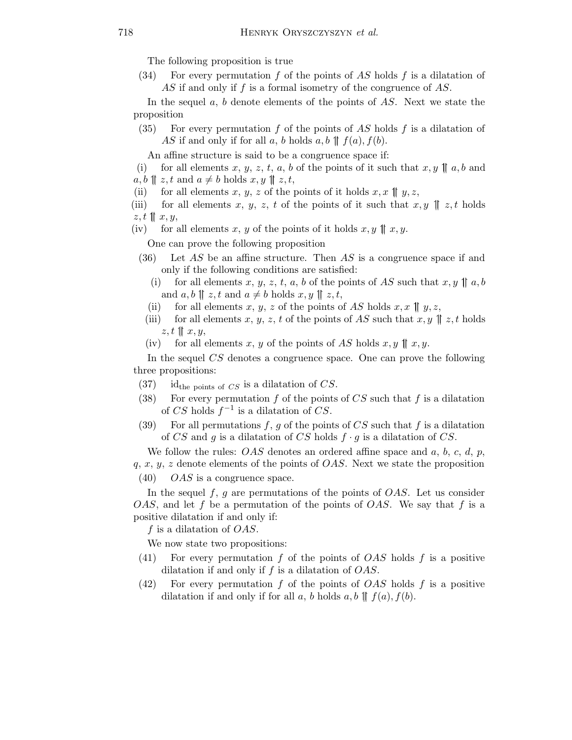The following proposition is true

(34) For every permutation f of the points of AS holds f is a dilatation of AS if and only if f is a formal isometry of the congruence of AS.

In the sequel a, b denote elements of the points of AS. Next we state the proposition

(35) For every permutation  $f$  of the points of  $AS$  holds  $f$  is a dilatation of AS if and only if for all a, b holds  $a, b \parallel f(a), f(b)$ .

An affine structure is said to be a congruence space if:

(i) for all elements x, y, z, t, a, b of the points of it such that  $x, y \parallel a, b$  and  $a, b \parallel z, t \text{ and } a \neq b \text{ holds } x, y \parallel z, t$ ,

- (ii) for all elements x, y, z of the points of it holds  $x, x \parallel y, z$ ,
- (iii) for all elements x, y, z, t of the points of it such that  $x, y \parallel z, t$  holds  $z, t \parallel x, y,$

(iv) for all elements x, y of the points of it holds  $x, y \parallel x, y$ .

One can prove the following proposition

- $(36)$  Let AS be an affine structure. Then AS is a congruence space if and only if the following conditions are satisfied:
	- (i) for all elements x, y, z, t, a, b of the points of AS such that  $x, y \parallel a, b$ and  $a, b \parallel z, t$  and  $a \neq b$  holds  $x, y \parallel z, t$ ,
	- (ii) for all elements x, y, z of the points of AS holds  $x, x \parallel y, z$ ,
- (iii) for all elements x, y, z, t of the points of AS such that  $x, y \parallel z$ , t holds  $z, t \parallel x, y,$
- (iv) for all elements x, y of the points of AS holds  $x, y \parallel x, y$ .

In the sequel CS denotes a congruence space. One can prove the following three propositions:

- $(37)$  id<sub>the points of CS</sub> is a dilatation of CS.
- (38) For every permutation  $f$  of the points of  $CS$  such that  $f$  is a dilatation of CS holds  $f^{-1}$  is a dilatation of CS.
- (39) For all permutations  $f, g$  of the points of  $CS$  such that  $f$  is a dilatation of CS and g is a dilatation of CS holds  $f \cdot g$  is a dilatation of CS.

We follow the rules:  $OAS$  denotes an ordered affine space and  $a, b, c, d, p$ , q, x, y, z denote elements of the points of OAS. Next we state the proposition

 $(40)$  OAS is a congruence space.

In the sequel  $f, g$  are permutations of the points of  $OAS$ . Let us consider OAS, and let f be a permutation of the points of OAS. We say that f is a positive dilatation if and only if:

f is a dilatation of  $OAS$ .

We now state two propositions:

- (41) For every permutation f of the points of OAS holds f is a positive dilatation if and only if  $f$  is a dilatation of  $OAS$ .
- $(42)$  For every permutation f of the points of *OAS* holds f is a positive dilatation if and only if for all a, b holds  $a, b \parallel f(a), f(b)$ .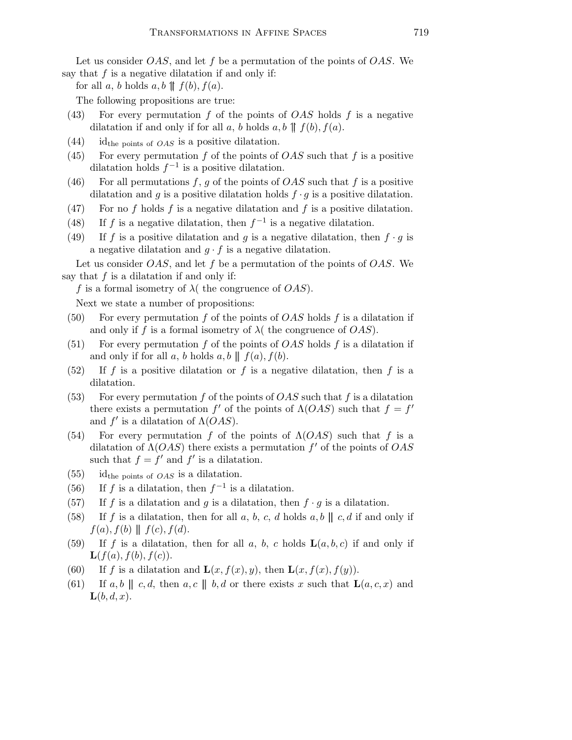Let us consider  $OAS$ , and let f be a permutation of the points of  $OAS$ . We say that  $f$  is a negative dilatation if and only if:

for all a, b holds  $a, b \parallel f(b), f(a)$ .

The following propositions are true:

- (43) For every permutation f of the points of  $OAS$  holds f is a negative dilatation if and only if for all a, b holds  $a, b \parallel f(b), f(a)$ .
- $(44)$  id<sub>the points of *OAS* is a positive dilatation.</sub>
- (45) For every permutation f of the points of  $OAS$  such that f is a positive dilatation holds  $f^{-1}$  is a positive dilatation.
- (46) For all permutations f, g of the points of  $OAS$  such that f is a positive dilatation and g is a positive dilatation holds  $f \cdot g$  is a positive dilatation.
- (47) For no f holds f is a negative dilatation and f is a positive dilatation.
- (48) If f is a negative dilatation, then  $f^{-1}$  is a negative dilatation.
- (49) If f is a positive dilatation and g is a negative dilatation, then  $f \cdot g$  is a negative dilatation and  $g \cdot f$  is a negative dilatation.

Let us consider  $OAS$ , and let f be a permutation of the points of  $OAS$ . We say that  $f$  is a dilatation if and only if:

f is a formal isometry of  $\lambda$  (the congruence of  $OAS$ ).

Next we state a number of propositions:

- (50) For every permutation f of the points of  $OAS$  holds f is a dilatation if and only if f is a formal isometry of  $\lambda$  (the congruence of  $OAS$ ).
- (51) For every permutation f of the points of  $OAS$  holds f is a dilatation if and only if for all a, b holds  $a, b \parallel f(a), f(b)$ .
- $(52)$  If f is a positive dilatation or f is a negative dilatation, then f is a dilatation.
- (53) For every permutation f of the points of  $OAS$  such that f is a dilatation there exists a permutation f' of the points of  $\Lambda(OAS)$  such that  $f = f'$ and  $f'$  is a dilatation of  $\Lambda(OAS)$ .
- (54) For every permutation f of the points of  $\Lambda(OAS)$  such that f is a dilatation of  $\Lambda(OAS)$  there exists a permutation f' of the points of  $OAS$ such that  $f = f'$  and  $f'$  is a dilatation.
- $(55)$  id<sub>the points of *OAS* is a dilatation.</sub>
- (56) If f is a dilatation, then  $f^{-1}$  is a dilatation.
- (57) If f is a dilatation and g is a dilatation, then  $f \cdot g$  is a dilatation.
- (58) If f is a dilatation, then for all a, b, c, d holds  $a, b \parallel c, d$  if and only if  $f(a), f(b) \parallel f(c), f(d).$
- (59) If f is a dilatation, then for all a, b, c holds  $\mathbf{L}(a, b, c)$  if and only if  $\mathbf{L}(f(a), f(b), f(c)).$
- (60) If f is a dilatation and  $\mathbf{L}(x, f(x), y)$ , then  $\mathbf{L}(x, f(x), f(y))$ .
- (61) If a, b  $|| c, d$ , then a, c  $|| b, d$  or there exists x such that  $\mathbf{L}(a, c, x)$  and  $\mathbf{L}(b, d, x)$ .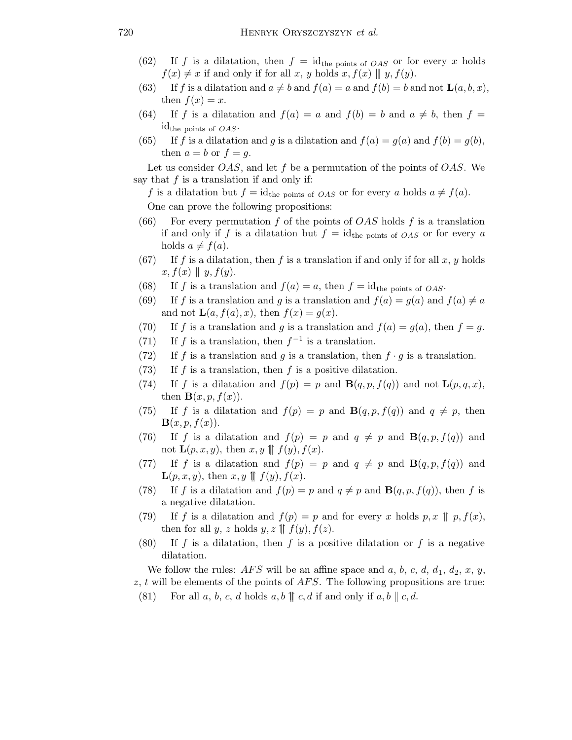- (62) If f is a dilatation, then  $f = id_{the \text{ points of } OAS}$  or for every x holds  $f(x) \neq x$  if and only if for all x, y holds x,  $f(x) \parallel y$ ,  $f(y)$ .
- (63) If f is a dilatation and  $a \neq b$  and  $f(a) = a$  and  $f(b) = b$  and not  $\mathbf{L}(a, b, x)$ , then  $f(x) = x$ .
- (64) If f is a dilatation and  $f(a) = a$  and  $f(b) = b$  and  $a \neq b$ , then  $f =$  $id_{the \text{ points of } OAS}.$
- (65) If f is a dilatation and g is a dilatation and  $f(a) = g(a)$  and  $f(b) = g(b)$ , then  $a = b$  or  $f = g$ .

Let us consider  $OAS$ , and let f be a permutation of the points of  $OAS$ . We say that  $f$  is a translation if and only if:

f is a dilatation but  $f = id_{the \text{ points of } OAS}$  or for every a holds  $a \neq f(a)$ .

One can prove the following propositions:

- (66) For every permutation f of the points of  $OAS$  holds f is a translation if and only if f is a dilatation but  $f = id_{the \text{ points of } OAS}$  or for every a holds  $a \neq f(a)$ .
- (67) If f is a dilatation, then f is a translation if and only if for all x, y holds  $x, f(x) \parallel y, f(y).$
- (68) If f is a translation and  $f(a) = a$ , then  $f = id$ <sub>the points of *OAS*.</sub>
- (69) If f is a translation and g is a translation and  $f(a) = g(a)$  and  $f(a) \neq a$ and not  $\mathbf{L}(a, f(a), x)$ , then  $f(x) = g(x)$ .
- (70) If f is a translation and g is a translation and  $f(a) = g(a)$ , then  $f = g$ .
- (71) If f is a translation, then  $f^{-1}$  is a translation.
- (72) If f is a translation and g is a translation, then  $f \cdot g$  is a translation.
- (73) If f is a translation, then f is a positive dilatation.
- (74) If f is a dilatation and  $f(p) = p$  and  $\mathbf{B}(q, p, f(q))$  and not  $\mathbf{L}(p, q, x)$ , then  $\mathbf{B}(x, p, f(x))$ .
- (75) If f is a dilatation and  $f(p) = p$  and  $B(q, p, f(q))$  and  $q \neq p$ , then  $\mathbf{B}(x, p, f(x)).$
- (76) If f is a dilatation and  $f(p) = p$  and  $q \neq p$  and  $\mathbf{B}(q, p, f(q))$  and not  $\mathbf{L}(p,x,y)$ , then  $x, y \parallel f(y), f(x)$ .
- (77) If f is a dilatation and  $f(p) = p$  and  $q \neq p$  and  $B(q, p, f(q))$  and  $\mathbf{L}(p,x,y)$ , then  $x, y \parallel f(y), f(x)$ .
- (78) If f is a dilatation and  $f(p) = p$  and  $q \neq p$  and  $\mathbf{B}(q, p, f(q))$ , then f is a negative dilatation.
- (79) If f is a dilatation and  $f(p) = p$  and for every x holds p, x  $\parallel p, f(x)$ , then for all y, z holds  $y, z \parallel f(y), f(z)$ .
- (80) If f is a dilatation, then f is a positive dilatation or f is a negative dilatation.

We follow the rules:  $AFS$  will be an affine space and a, b, c, d,  $d_1$ ,  $d_2$ , x, y,  $z, t$  will be elements of the points of  $AFS$ . The following propositions are true:

(81) For all a, b, c, d holds a, b  $\parallel c$ , d if and only if a, b  $\parallel c$ , d.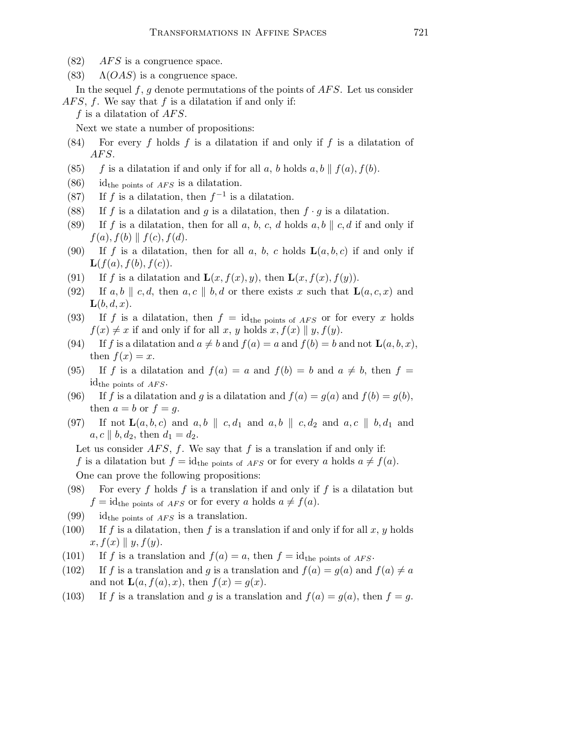- $(82)$  *AFS* is a congruence space.
- (83)  $\Lambda(OAS)$  is a congruence space.

In the sequel f, g denote permutations of the points of  $AFS$ . Let us consider  $AFS, f.$  We say that f is a dilatation if and only if:

f is a dilatation of  $AFS$ .

Next we state a number of propositions:

- (84) For every f holds f is a dilatation if and only if f is a dilatation of AFS.
- (85) f is a dilatation if and only if for all a, b holds a, b  $|| f(a), f(b)$ .
- $(86)$  id<sub>the points of *AFS* is a dilatation.</sub>
- (87) If f is a dilatation, then  $f^{-1}$  is a dilatation.
- (88) If f is a dilatation and g is a dilatation, then  $f \cdot g$  is a dilatation.
- (89) If f is a dilatation, then for all a, b, c, d holds a, b  $\parallel$  c, d if and only if  $f(a), f(b) \parallel f(c), f(d).$
- (90) If f is a dilatation, then for all a, b, c holds  $\mathbf{L}(a, b, c)$  if and only if  $\mathbf{L}(f(a), f(b), f(c)).$
- (91) If f is a dilatation and  $\mathbf{L}(x, f(x), y)$ , then  $\mathbf{L}(x, f(x), f(y))$ .
- (92) If a, b || c, d, then a, c || b, d or there exists x such that  $\mathbf{L}(a, c, x)$  and  $\mathbf{L}(b, d, x)$ .
- (93) If f is a dilatation, then  $f = id_{the \text{ points of }AFS}$  or for every x holds  $f(x) \neq x$  if and only if for all x, y holds x,  $f(x) \parallel y, f(y)$ .
- (94) If f is a dilatation and  $a \neq b$  and  $f(a) = a$  and  $f(b) = b$  and not  $\mathbf{L}(a, b, x)$ , then  $f(x) = x$ .
- (95) If f is a dilatation and  $f(a) = a$  and  $f(b) = b$  and  $a \neq b$ , then  $f =$ id<sub>the points of  $AFS$ </sub>.

(96) If f is a dilatation and g is a dilatation and  $f(a) = g(a)$  and  $f(b) = g(b)$ , then  $a = b$  or  $f = g$ .

(97) If not  $\mathbf{L}(a, b, c)$  and  $a, b \parallel c, d_1$  and  $a, b \parallel c, d_2$  and  $a, c \parallel b, d_1$  and  $a, c \parallel b, d_2$ , then  $d_1 = d_2$ .

Let us consider  $AFS$ , f. We say that f is a translation if and only if:

f is a dilatation but  $f = id_{the \text{ points of } AFS}$  or for every a holds  $a \neq f(a)$ . One can prove the following propositions:

- (98) For every f holds f is a translation if and only if f is a dilatation but  $f = id_{\text{the points of }AFS}$  or for every a holds  $a \neq f(a)$ .
- (99) id<sub>the points of AFS</sub> is a translation.
- (100) If f is a dilatation, then f is a translation if and only if for all x, y holds  $x, f(x) \parallel y, f(y).$
- (101) If f is a translation and  $f(a) = a$ , then  $f = id$ <sub>the points of AFS</sub>.
- (102) If f is a translation and g is a translation and  $f(a) = g(a)$  and  $f(a) \neq a$ and not  $\mathbf{L}(a, f(a), x)$ , then  $f(x) = g(x)$ .
- (103) If f is a translation and g is a translation and  $f(a) = g(a)$ , then  $f = g$ .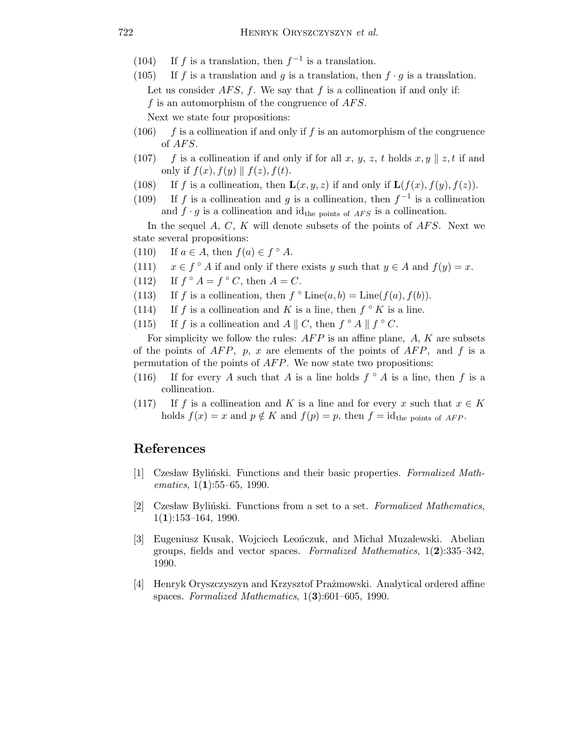- (104) If f is a translation, then  $f^{-1}$  is a translation.
- (105) If f is a translation and g is a translation, then  $f \cdot g$  is a translation. Let us consider  $AFS$ , f. We say that f is a collineation if and only if: f is an automorphism of the congruence of  $AFS$ .

Next we state four propositions:

- (106) f is a collineation if and only if f is an automorphism of the congruence of  $AFS$ .
- (107) f is a collineation if and only if for all x, y, z, t holds  $x, y \parallel z$ , t if and only if  $f(x)$ ,  $f(y)$  ||  $f(z)$ ,  $f(t)$ .
- (108) If f is a collineation, then  $\mathbf{L}(x, y, z)$  if and only if  $\mathbf{L}(f(x), f(y), f(z))$ .
- (109) If f is a collineation and g is a collineation, then  $f^{-1}$  is a collineation and  $f \cdot g$  is a collineation and id<sub>the points of AFS</sub> is a collineation.

In the sequel  $A, C, K$  will denote subsets of the points of  $AFS$ . Next we state several propositions:

- (110) If  $a \in A$ , then  $f(a) \in f^{\circ} A$ .
- (111)  $x \in f^{\circ} A$  if and only if there exists y such that  $y \in A$  and  $f(y) = x$ .
- $(112)$  $\circ A = f \circ C$ , then  $A = C$ .
- (113) If f is a collineation, then  $f \circ \text{Line}(a, b) = \text{Line}(f(a), f(b)).$
- (114) If f is a collineation and K is a line, then  $f \circ K$  is a line.
- (115) If f is a collineation and  $A \parallel C$ , then  $f \circ A \parallel f \circ C$ .

For simplicity we follow the rules:  $AFP$  is an affine plane,  $A$ ,  $K$  are subsets of the points of  $AFP$ , p, x are elements of the points of  $AFP$ , and f is a permutation of the points of  $AFP$ . We now state two propositions:

- (116) If for every A such that A is a line holds  $f \circ A$  is a line, then f is a collineation.
- (117) If f is a collineation and K is a line and for every x such that  $x \in K$ holds  $f(x) = x$  and  $p \notin K$  and  $f(p) = p$ , then  $f = id$ <sub>the points of AFP</sub>.

## References

- [1] Czesław Byliński. Functions and their basic properties. Formalized Mathematics,  $1(1):55-65$ , 1990.
- [2] Czesław Byliński. Functions from a set to a set. Formalized Mathematics,  $1(1):153-164, 1990.$
- [3] Eugeniusz Kusak, Wojciech Leończuk, and Michał Muzalewski. Abelian groups, fields and vector spaces. Formalized Mathematics,  $1(2):335-342$ , 1990.
- [4] Henryk Oryszczyszyn and Krzysztof Prażmowski. Analytical ordered affine spaces. Formalized Mathematics, 1(3):601–605, 1990.